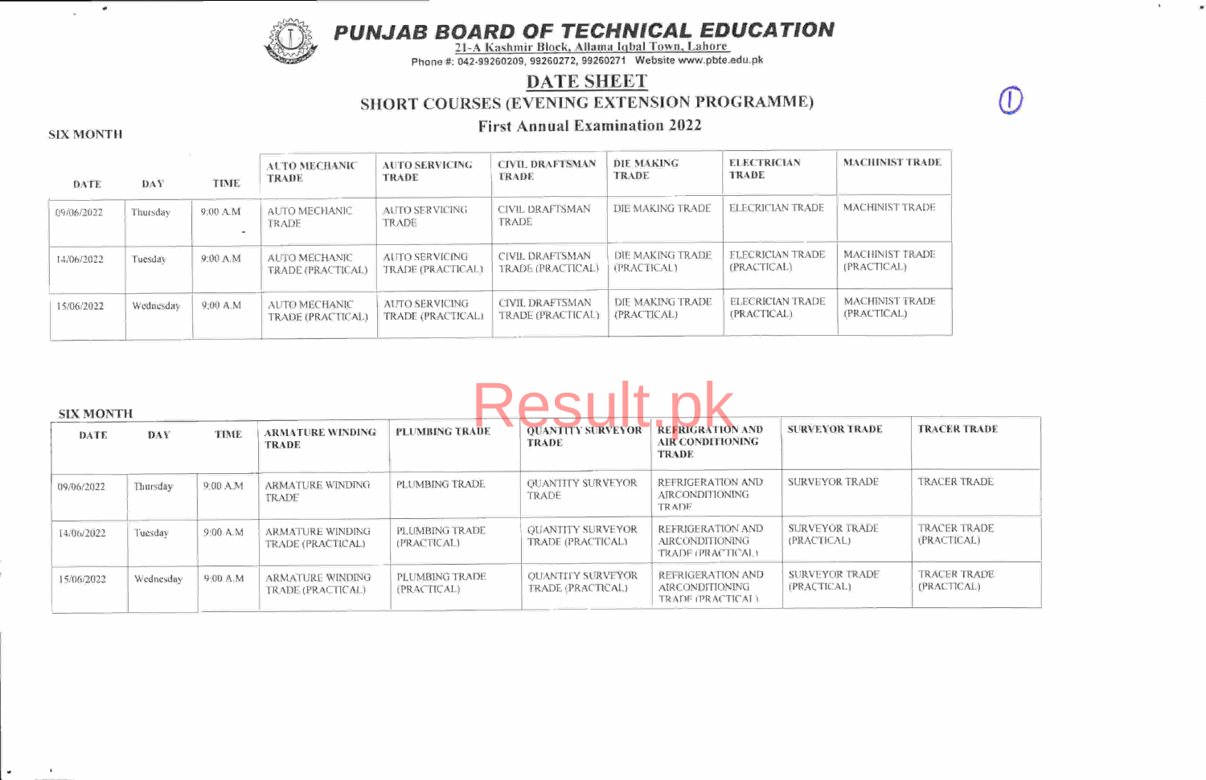PUNJAB BOARD OF TECHNICAL EDUCATION<br>21-A Kashmir Block, Allama Iqbal Town, Lahore



Phone #: 042-99260209, 99260272, 99260271 Website www.pbte.edu.pl

## DATE SHEET SHORT COURSES (EVENING EXTENSION PROGRAMME)

 $\mathbb T$ 

# First Annual Examination <sup>2022</sup> SIX MONTH

 $\mathbf x$ 

 $\omega$ 

| DATE       | DAY       | TIME     | <b>ALTO MECHANIC</b><br>TRADE      | <b>AUTO SERVICING</b><br>TRADE      | <b>CIVIL DRAFTSMAN</b><br><b>TRADE</b>      | DIE MAKING<br><b>TRADE</b>      | <b>ELECTRICIAN</b><br>TRADE            | <b>MACHINIST TRADE</b>         |
|------------|-----------|----------|------------------------------------|-------------------------------------|---------------------------------------------|---------------------------------|----------------------------------------|--------------------------------|
| 09/06/2022 | Thursday  | 9:00 A.M | AUTO MECHANIC<br>TRADE             | AUTO SERVICING<br><b>TRADE</b>      | CIVIL DRAFTSMAN<br>TRADE                    | DIE MAKING TRADE                | <b>ELECRICIAN TRADE</b>                | <b>MACHINIST TRADE</b>         |
| 14/06/2022 | Tuesday   | 9:00 A.M | AUTO MECHANIC<br>TRADE (PRACTICAL) | AUTO SERVICING<br>TRADE (PRACTICAL) | CIVIL DRAFTSMAN<br>TRADE (PRACTICAL)        | DIE MAKING TRADE<br>(PRACTICAL) | <b>FLECRICIAN TRADE</b><br>(PRACTICAL) | MACHINIST TRADE<br>(PRACTICAL) |
| 15/06/2022 | Wednesday | 9:00 A.M | AUTO MECHANIC<br>TRADE (PRACTICAL) | AUTO SERVICING<br>TRADE (PRACTICAL) | <b>CIVIL DRAFTSMAN</b><br>TRADE (PRACTICAL) | DIE MAKING TRADE<br>(PRACTICAL) | ELECRICIAN TRADE<br>(PRACTICAL).       | MACHINIST TRADE<br>(PRACTICAL) |

# Result nk

| <b>SIX MONTH</b> |           |          |                                       |                               |                                               |                                                             |                               |                                    |
|------------------|-----------|----------|---------------------------------------|-------------------------------|-----------------------------------------------|-------------------------------------------------------------|-------------------------------|------------------------------------|
| <b>DATE</b>      | DAY       | TIME     | <b>ARMATURE WINDING</b><br>TRADE      | PLUMBING TRADE                | <b>QUANTITY SURVEYOR</b><br><b>TRADE</b>      | <b>REFRIGRATION AND</b><br><b>AIR CONDITIONING</b><br>TRADE | <b>SURVEYOR TRADE</b>         | <b>TRACER TRADE</b>                |
| 09/06/2022       | Thursday  | 9:00 A.M | ARMATURE WINDING<br>TRADE             | PLUMBING TRADE                | <b>OUANTITY SURVEYOR</b><br>TRADE             | REFRIGERATION AND<br><b>AIRCONDITIONING</b><br><b>TRADE</b> | <b>SURVEYOR TRADE</b>         | <b>TRACER TRADE</b>                |
| 14/06/2022       | Tuesdav   | 9:00 A.M | ARMATURE WINDING<br>TRADE (PRACTICAL) | PLUMBING TRADE<br>(PRACTICAL) | <b>OUANTITY SURVEYOR</b><br>TRADE (PRACTICAL) | REFRIGERATION AND<br>AIRCONDITIONING<br>TRADE (PRACTICAL)   | SURVEYOR TRADE<br>(PRACTICAL) | <b>TRACER TRADE</b><br>(PRACTICAL) |
| 15/06/2022       | Wednesday | 9:00 A.M | ARMATURE WINDING<br>TRADE (PRACTICAL) | PLUMBING TRADE<br>(PRACTICAL) | <b>OUANTITY SURVEYOR</b><br>TRADE (PRACTICAL) | REFRIGERATION AND<br>AIRCONDITIONING<br>TRADE (PRACTICAL)   | SURVEYOR TRADE<br>(PRACTICAL) | TRACER TRADE<br>(PRACTICAL)        |